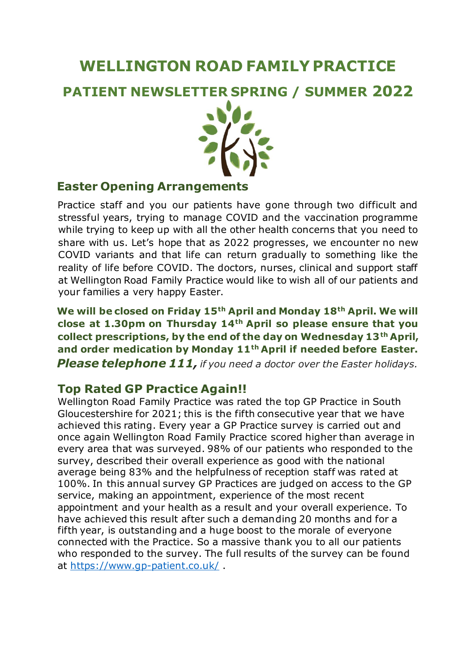# **WELLINGTON ROAD FAMILY PRACTICE**

**PATIENT NEWSLETTER SPRING / SUMMER 2022**



#### **Easter Opening Arrangements**

Practice staff and you our patients have gone through two difficult and stressful years, trying to manage COVID and the vaccination programme while trying to keep up with all the other health concerns that you need to share with us. Let's hope that as 2022 progresses, we encounter no new COVID variants and that life can return gradually to something like the reality of life before COVID. The doctors, nurses, clinical and support staff at Wellington Road Family Practice would like to wish all of our patients and your families a very happy Easter.

**We will be closed on Friday 15th April and Monday 18th April. We will close at 1.30pm on Thursday 14th April so please ensure that you collect prescriptions, by the end of the day on Wednesday 13th April, and order medication by Monday 11th April if needed before Easter.** *Please telephone 111, if you need a doctor over the Easter holidays.*

# **Top Rated GP Practice Again!!**

Wellington Road Family Practice was rated the top GP Practice in South Gloucestershire for 2021; this is the fifth consecutive year that we have achieved this rating. Every year a GP Practice survey is carried out and once again Wellington Road Family Practice scored higher than average in every area that was surveyed. 98% of our patients who responded to the survey, described their overall experience as good with the national average being 83% and the helpfulness of reception staff was rated at 100%. In this annual survey GP Practices are judged on access to the GP service, making an appointment, experience of the most recent appointment and your health as a result and your overall experience. To have achieved this result after such a demanding 20 months and for a fifth year, is outstanding and a huge boost to the morale of everyone connected with the Practice. So a massive thank you to all our patients who responded to the survey. The full results of the survey can be found at<https://www.gp-patient.co.uk/> .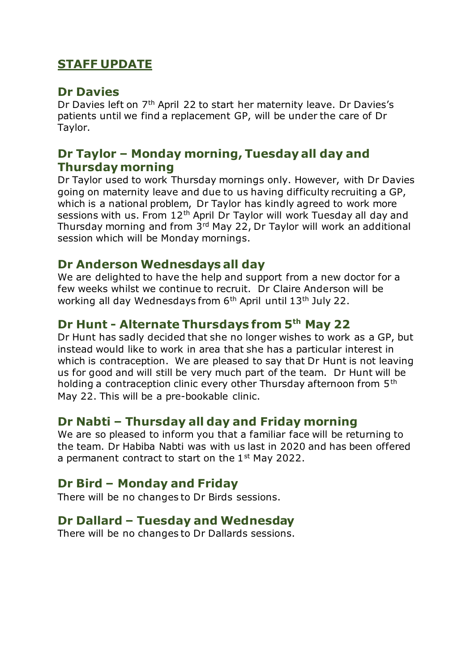# **STAFF UPDATE**

#### **Dr Davies**

Dr Davies left on 7<sup>th</sup> April 22 to start her maternity leave. Dr Davies's patients until we find a replacement GP, will be under the care of Dr Taylor.

# **Dr Taylor – Monday morning, Tuesday all day and Thursday morning**

Dr Taylor used to work Thursday mornings only. However, with Dr Davies going on maternity leave and due to us having difficulty recruiting a GP, which is a national problem, Dr Taylor has kindly agreed to work more sessions with us. From 12<sup>th</sup> April Dr Taylor will work Tuesday all day and Thursday morning and from 3rd May 22, Dr Taylor will work an additional session which will be Monday mornings.

#### **Dr Anderson Wednesdays all day**

We are delighted to have the help and support from a new doctor for a few weeks whilst we continue to recruit. Dr Claire Anderson will be working all day Wednesdays from 6<sup>th</sup> April until 13<sup>th</sup> July 22.

# **Dr Hunt - Alternate Thursdays from 5th May 22**

Dr Hunt has sadly decided that she no longer wishes to work as a GP, but instead would like to work in area that she has a particular interest in which is contraception. We are pleased to say that Dr Hunt is not leaving us for good and will still be very much part of the team. Dr Hunt will be holding a contraception clinic every other Thursday afternoon from 5th May 22. This will be a pre-bookable clinic.

# **Dr Nabti – Thursday all day and Friday morning**

We are so pleased to inform you that a familiar face will be returning to the team. Dr Habiba Nabti was with us last in 2020 and has been offered a permanent contract to start on the 1<sup>st</sup> May 2022.

# **Dr Bird – Monday and Friday**

There will be no changes to Dr Birds sessions.

# **Dr Dallard – Tuesday and Wednesday**

There will be no changes to Dr Dallards sessions.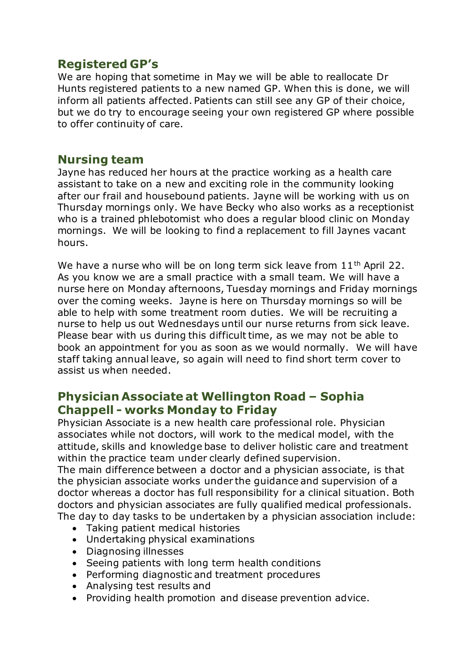# **Registered GP's**

We are hoping that sometime in May we will be able to reallocate Dr Hunts registered patients to a new named GP. When this is done, we will inform all patients affected. Patients can still see any GP of their choice, but we do try to encourage seeing your own registered GP where possible to offer continuity of care.

#### **Nursing team**

Jayne has reduced her hours at the practice working as a health care assistant to take on a new and exciting role in the community looking after our frail and housebound patients. Jayne will be working with us on Thursday mornings only. We have Becky who also works as a receptionist who is a trained phlebotomist who does a regular blood clinic on Monday mornings. We will be looking to find a replacement to fill Jaynes vacant hours.

We have a nurse who will be on long term sick leave from  $11<sup>th</sup>$  April 22. As you know we are a small practice with a small team. We will have a nurse here on Monday afternoons, Tuesday mornings and Friday mornings over the coming weeks. Jayne is here on Thursday mornings so will be able to help with some treatment room duties. We will be recruiting a nurse to help us out Wednesdays until our nurse returns from sick leave. Please bear with us during this difficult time, as we may not be able to book an appointment for you as soon as we would normally. We will have staff taking annual leave, so again will need to find short term cover to assist us when needed.

#### **Physician Associate at Wellington Road – Sophia Chappell - works Monday to Friday**

Physician Associate is a new health care professional role. Physician associates while not doctors, will work to the medical model, with the attitude, skills and knowledge base to deliver holistic care and treatment within the practice team under clearly defined supervision.

The main difference between a doctor and a physician associate, is that the physician associate works under the guidance and supervision of a doctor whereas a doctor has full responsibility for a clinical situation. Both doctors and physician associates are fully qualified medical professionals. The day to day tasks to be undertaken by a physician association include:

- Taking patient medical histories
- Undertaking physical examinations
- Diagnosing illnesses
- Seeing patients with long term health conditions
- Performing diagnostic and treatment procedures
- Analysing test results and
- Providing health promotion and disease prevention advice.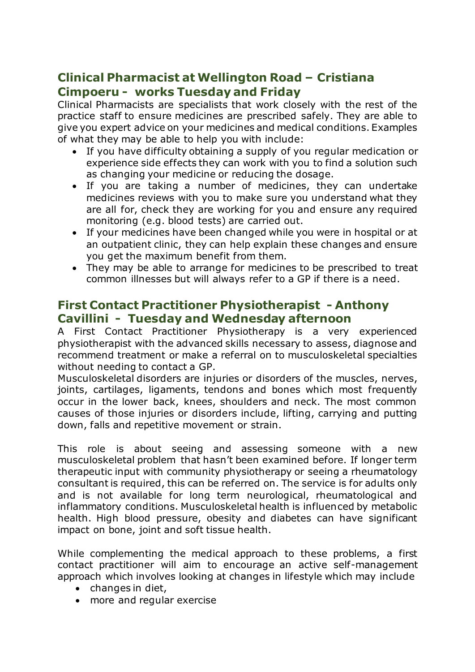# **Clinical Pharmacist at Wellington Road – Cristiana Cimpoeru - works Tuesday and Friday**

Clinical Pharmacists are specialists that work closely with the rest of the practice staff to ensure medicines are prescribed safely. They are able to give you expert advice on your medicines and medical conditions. Examples of what they may be able to help you with include:

- If you have difficulty obtaining a supply of you regular medication or experience side effects they can work with you to find a solution such as changing your medicine or reducing the dosage.
- If you are taking a number of medicines, they can undertake medicines reviews with you to make sure you understand what they are all for, check they are working for you and ensure any required monitoring (e.g. blood tests) are carried out.
- If your medicines have been changed while you were in hospital or at an outpatient clinic, they can help explain these changes and ensure you get the maximum benefit from them.
- They may be able to arrange for medicines to be prescribed to treat common illnesses but will always refer to a GP if there is a need.

### **First Contact Practitioner Physiotherapist - Anthony Cavillini - Tuesday and Wednesday afternoon**

A First Contact Practitioner Physiotherapy is a very experienced physiotherapist with the advanced skills necessary to assess, diagnose and recommend treatment or make a referral on to musculoskeletal specialties without needing to contact a GP.

Musculoskeletal disorders are injuries or disorders of the muscles, nerves, joints, cartilages, ligaments, tendons and bones which most frequently occur in the lower back, knees, shoulders and neck. The most common causes of those injuries or disorders include, lifting, carrying and putting down, falls and repetitive movement or strain.

This role is about seeing and assessing someone with a new musculoskeletal problem that hasn't been examined before. If longer term therapeutic input with community physiotherapy or seeing a rheumatology consultant is required, this can be referred on. The service is for adults only and is not available for long term neurological, rheumatological and inflammatory conditions. Musculoskeletal health is influenced by metabolic health. High blood pressure, obesity and diabetes can have significant impact on bone, joint and soft tissue health.

While complementing the medical approach to these problems, a first contact practitioner will aim to encourage an active self-management approach which involves looking at changes in lifestyle which may include

- changes in diet,
- more and regular exercise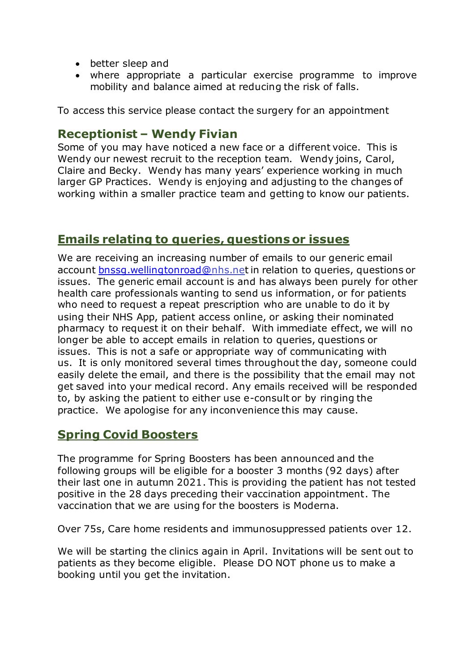- better sleep and
- where appropriate a particular exercise programme to improve mobility and balance aimed at reducing the risk of falls.

To access this service please contact the surgery for an appointment

#### **Receptionist – Wendy Fivian**

Some of you may have noticed a new face or a different voice. This is Wendy our newest recruit to the reception team. Wendy joins, Carol, Claire and Becky. Wendy has many years' experience working in much larger GP Practices. Wendy is enjoying and adjusting to the changes of working within a smaller practice team and getting to know our patients.

#### **Emails relating to queries, questions or issues**

We are receiving an increasing number of emails to our generic email account [bnssg.wellingtonroad@](mailto:bnssg.wellingtonroad@)nhs.net in relation to queries, questions or issues. The generic email account is and has always been purely for other health care professionals wanting to send us information, or for patients who need to request a repeat prescription who are unable to do it by using their NHS App, patient access online, or asking their nominated pharmacy to request it on their behalf. With immediate effect, we will no longer be able to accept emails in relation to queries, questions or issues. This is not a safe or appropriate way of communicating with us. It is only monitored several times throughout the day, someone could easily delete the email, and there is the possibility that the email may not get saved into your medical record. Any emails received will be responded to, by asking the patient to either use e-consult or by ringing the practice. We apologise for any inconvenience this may cause.

#### **Spring Covid Boosters**

The programme for Spring Boosters has been announced and the following groups will be eligible for a booster 3 months (92 days) after their last one in autumn 2021. This is providing the patient has not tested positive in the 28 days preceding their vaccination appointment. The vaccination that we are using for the boosters is Moderna.

Over 75s, Care home residents and immunosuppressed patients over 12.

We will be starting the clinics again in April. Invitations will be sent out to patients as they become eligible. Please DO NOT phone us to make a booking until you get the invitation.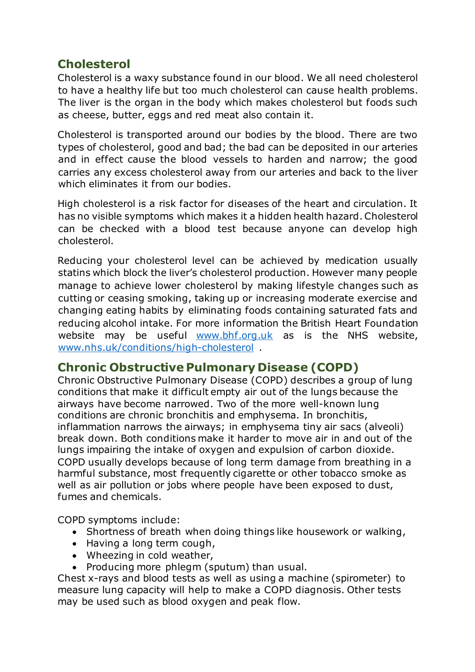# **Cholesterol**

Cholesterol is a waxy substance found in our blood. We all need cholesterol to have a healthy life but too much cholesterol can cause health problems. The liver is the organ in the body which makes cholesterol but foods such as cheese, butter, eggs and red meat also contain it.

Cholesterol is transported around our bodies by the blood. There are two types of cholesterol, good and bad; the bad can be deposited in our arteries and in effect cause the blood vessels to harden and narrow; the good carries any excess cholesterol away from our arteries and back to the liver which eliminates it from our bodies.

High cholesterol is a risk factor for diseases of the heart and circulation. It has no visible symptoms which makes it a hidden health hazard. Cholesterol can be checked with a blood test because anyone can develop high cholesterol.

Reducing your cholesterol level can be achieved by medication usually statins which block the liver's cholesterol production. However many people manage to achieve lower cholesterol by making lifestyle changes such as cutting or ceasing smoking, taking up or increasing moderate exercise and changing eating habits by eliminating foods containing saturated fats and reducing alcohol intake. For more information the British Heart Foundation website may be useful [www.bhf.org.uk](http://www.bhf.org.uk/) as is the NHS website, [www.nhs.uk/conditions/high-cholesterol](http://www.nhs.uk/conditions/high-cholesterol) .

# **Chronic Obstructive Pulmonary Disease (COPD)**

Chronic Obstructive Pulmonary Disease (COPD) describes a group of lung conditions that make it difficult empty air out of the lungs because the airways have become narrowed. Two of the more well-known lung conditions are chronic bronchitis and emphysema. In bronchitis, inflammation narrows the airways; in emphysema tiny air sacs (alveoli) break down. Both conditions make it harder to move air in and out of the lungs impairing the intake of oxygen and expulsion of carbon dioxide. COPD usually develops because of long term damage from breathing in a harmful substance, most frequently cigarette or other tobacco smoke as well as air pollution or jobs where people have been exposed to dust, fumes and chemicals.

COPD symptoms include:

- Shortness of breath when doing things like housework or walking,
- Having a long term cough,
- Wheezing in cold weather,
- Producing more phlegm (sputum) than usual.

Chest x-rays and blood tests as well as using a machine (spirometer) to measure lung capacity will help to make a COPD diagnosis. Other tests may be used such as blood oxygen and peak flow.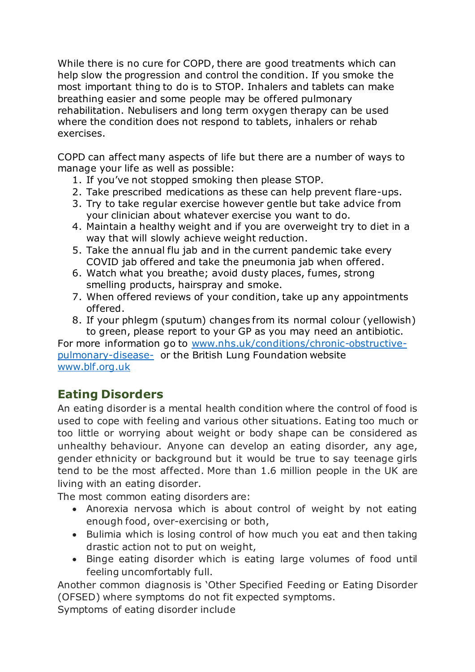While there is no cure for COPD, there are good treatments which can help slow the progression and control the condition. If you smoke the most important thing to do is to STOP. Inhalers and tablets can make breathing easier and some people may be offered pulmonary rehabilitation. Nebulisers and long term oxygen therapy can be used where the condition does not respond to tablets, inhalers or rehab exercises.

COPD can affect many aspects of life but there are a number of ways to manage your life as well as possible:

- 1. If you've not stopped smoking then please STOP.
- 2. Take prescribed medications as these can help prevent flare-ups.
- 3. Try to take regular exercise however gentle but take advice from your clinician about whatever exercise you want to do.
- 4. Maintain a healthy weight and if you are overweight try to diet in a way that will slowly achieve weight reduction.
- 5. Take the annual flu jab and in the current pandemic take every COVID jab offered and take the pneumonia jab when offered.
- 6. Watch what you breathe; avoid dusty places, fumes, strong smelling products, hairspray and smoke.
- 7. When offered reviews of your condition, take up any appointments offered.
- 8. If your phlegm (sputum) changes from its normal colour (yellowish) to green, please report to your GP as you may need an antibiotic.

For more information go to [www.nhs.uk/conditions/chronic-obstructive](http://www.nhs.uk/conditions/chronic-obstructive-pulmonary-disease-)[pulmonary-disease-](http://www.nhs.uk/conditions/chronic-obstructive-pulmonary-disease-) or the British Lung Foundation website [www.blf.org.uk](http://www.blf.org.uk/)

# **Eating Disorders**

An eating disorder is a mental health condition where the control of food is used to cope with feeling and various other situations. Eating too much or too little or worrying about weight or body shape can be considered as unhealthy behaviour. Anyone can develop an eating disorder, any age, gender ethnicity or background but it would be true to say teenage girls tend to be the most affected. More than 1.6 million people in the UK are living with an eating disorder.

The most common eating disorders are:

- Anorexia nervosa which is about control of weight by not eating enough food, over-exercising or both,
- Bulimia which is losing control of how much you eat and then taking drastic action not to put on weight,
- Binge eating disorder which is eating large volumes of food until feeling uncomfortably full.

Another common diagnosis is 'Other Specified Feeding or Eating Disorder (OFSED) where symptoms do not fit expected symptoms.

Symptoms of eating disorder include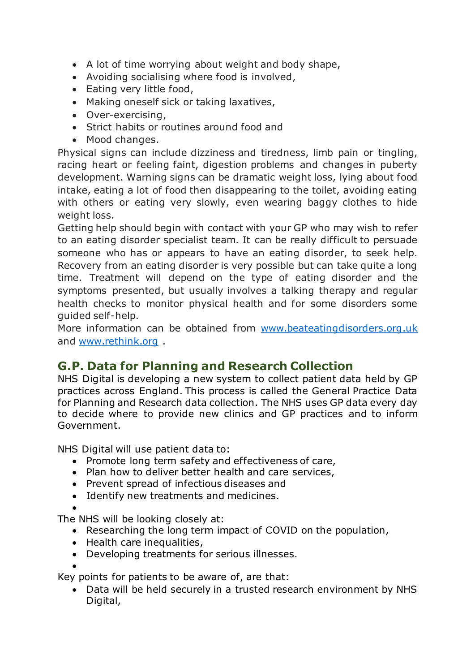- A lot of time worrying about weight and body shape,
- Avoiding socialising where food is involved,
- Eating very little food,
- Making oneself sick or taking laxatives,
- Over-exercising,
- Strict habits or routines around food and
- Mood changes.

Physical signs can include dizziness and tiredness, limb pain or tingling, racing heart or feeling faint, digestion problems and changes in puberty development. Warning signs can be dramatic weight loss, lying about food intake, eating a lot of food then disappearing to the toilet, avoiding eating with others or eating very slowly, even wearing baggy clothes to hide weight loss.

Getting help should begin with contact with your GP who may wish to refer to an eating disorder specialist team. It can be really difficult to persuade someone who has or appears to have an eating disorder, to seek help. Recovery from an eating disorder is very possible but can take quite a long time. Treatment will depend on the type of eating disorder and the symptoms presented, but usually involves a talking therapy and regular health checks to monitor physical health and for some disorders some guided self-help.

More information can be obtained from [www.beateatingdisorders.org.uk](http://www.beateatingdisorders.org.uk/) and [www.rethink.org](http://www.rethink.org/) .

# **G.P. Data for Planning and Research Collection**

NHS Digital is developing a new system to collect patient data held by GP practices across England. This process is called the General Practice Data for Planning and Research data collection. The NHS uses GP data every day to decide where to provide new clinics and GP practices and to inform Government.

NHS Digital will use patient data to:

- Promote long term safety and effectiveness of care,
- Plan how to deliver better health and care services,
- Prevent spread of infectious diseases and
- Identify new treatments and medicines.
- •

The NHS will be looking closely at:

- Researching the long term impact of COVID on the population,
- Health care inequalities,
- Developing treatments for serious illnesses.

• Key points for patients to be aware of, are that:

• Data will be held securely in a trusted research environment by NHS Digital,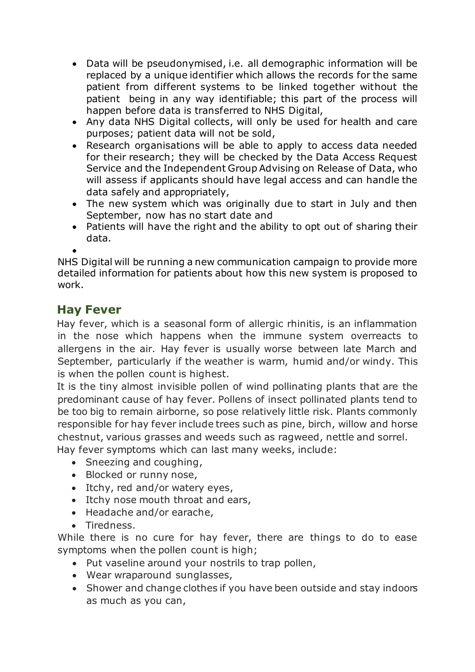- Data will be pseudonymised, i.e. all demographic information will be replaced by a unique identifier which allows the records for the same patient from different systems to be linked together without the patient being in any way identifiable; this part of the process will happen before data is transferred to NHS Digital,
- Any data NHS Digital collects, will only be used for health and care purposes; patient data will not be sold,
- Research organisations will be able to apply to access data needed for their research; they will be checked by the Data Access Request Service and the Independent Group Advising on Release of Data, who will assess if applicants should have legal access and can handle the data safely and appropriately,
- The new system which was originally due to start in July and then September, now has no start date and
- Patients will have the right and the ability to opt out of sharing their data.

•

NHS Digital will be running a new communication campaign to provide more detailed information for patients about how this new system is proposed to work.

# **Hay Fever**

Hay fever, which is a seasonal form of allergic rhinitis, is an inflammation in the nose which happens when the immune system overreacts to allergens in the air. Hay fever is usually worse between late March and September, particularly if the weather is warm, humid and/or windy. This is when the pollen count is highest.

It is the tiny almost invisible pollen of wind pollinating plants that are the predominant cause of hay fever. Pollens of insect pollinated plants tend to be too big to remain airborne, so pose relatively little risk. Plants commonly responsible for hay fever include trees such as pine, birch, willow and horse chestnut, various grasses and weeds such as ragweed, nettle and sorrel.

Hay fever symptoms which can last many weeks, include:

- Sneezing and coughing,
- Blocked or runny nose,
- Itchy, red and/or watery eyes,
- Itchy nose mouth throat and ears,
- Headache and/or earache,
- Tiredness.

While there is no cure for hay fever, there are things to do to ease symptoms when the pollen count is high;

- Put vaseline around your nostrils to trap pollen,
- Wear wraparound sunglasses,
- Shower and change clothes if you have been outside and stay indoors as much as you can,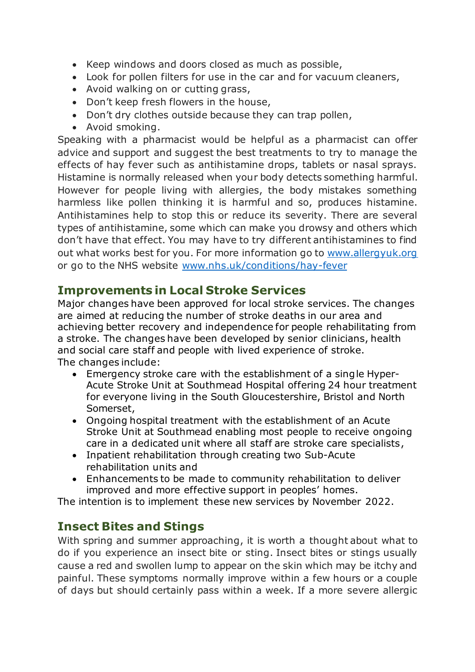- Keep windows and doors closed as much as possible,
- Look for pollen filters for use in the car and for vacuum cleaners,
- Avoid walking on or cutting grass,
- Don't keep fresh flowers in the house,
- Don't dry clothes outside because they can trap pollen,
- Avoid smoking.

Speaking with a pharmacist would be helpful as a pharmacist can offer advice and support and suggest the best treatments to try to manage the effects of hay fever such as antihistamine drops, tablets or nasal sprays. Histamine is normally released when your body detects something harmful. However for people living with allergies, the body mistakes something harmless like pollen thinking it is harmful and so, produces histamine. Antihistamines help to stop this or reduce its severity. There are several types of antihistamine, some which can make you drowsy and others which don't have that effect. You may have to try different antihistamines to find out what works best for you. For more information go to [www.allergyuk.org](http://www.allergyuk.org/) or go to the NHS website [www.nhs.uk/conditions/hay-fever](http://www.nhs.uk/conditions/hay-fever)

# **Improvements in Local Stroke Services**

Major changes have been approved for local stroke services. The changes are aimed at reducing the number of stroke deaths in our area and achieving better recovery and independence for people rehabilitating from a stroke. The changes have been developed by senior clinicians, health and social care staff and people with lived experience of stroke. The changes include:

- Emergency stroke care with the establishment of a single Hyper-Acute Stroke Unit at Southmead Hospital offering 24 hour treatment for everyone living in the South Gloucestershire, Bristol and North Somerset,
- Ongoing hospital treatment with the establishment of an Acute Stroke Unit at Southmead enabling most people to receive ongoing care in a dedicated unit where all staff are stroke care specialists,
- Inpatient rehabilitation through creating two Sub-Acute rehabilitation units and
- Enhancements to be made to community rehabilitation to deliver improved and more effective support in peoples' homes.

The intention is to implement these new services by November 2022.

# **Insect Bites and Stings**

With spring and summer approaching, it is worth a thought about what to do if you experience an insect bite or sting. Insect bites or stings usually cause a red and swollen lump to appear on the skin which may be itchy and painful. These symptoms normally improve within a few hours or a couple of days but should certainly pass within a week. If a more severe allergic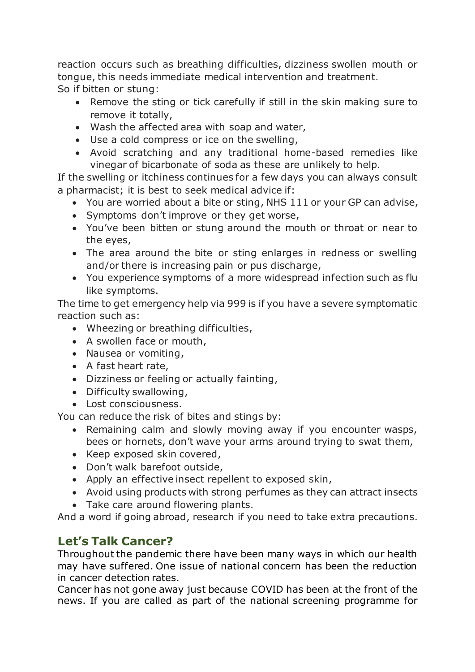reaction occurs such as breathing difficulties, dizziness swollen mouth or tongue, this needs immediate medical intervention and treatment.

So if bitten or stung:

- Remove the sting or tick carefully if still in the skin making sure to remove it totally,
- Wash the affected area with soap and water,
- Use a cold compress or ice on the swelling,
- Avoid scratching and any traditional home-based remedies like vinegar of bicarbonate of soda as these are unlikely to help.

If the swelling or itchiness continues for a few days you can always consult a pharmacist; it is best to seek medical advice if:

- You are worried about a bite or sting, NHS 111 or your GP can advise,
- Symptoms don't improve or they get worse,
- You've been bitten or stung around the mouth or throat or near to the eyes,
- The area around the bite or sting enlarges in redness or swelling and/or there is increasing pain or pus discharge,
- You experience symptoms of a more widespread infection such as flu like symptoms.

The time to get emergency help via 999 is if you have a severe symptomatic reaction such as:

- Wheezing or breathing difficulties,
- A swollen face or mouth,
- Nausea or vomiting,
- A fast heart rate,
- Dizziness or feeling or actually fainting,
- Difficulty swallowing,
- Lost consciousness.

You can reduce the risk of bites and stings by:

- Remaining calm and slowly moving away if you encounter wasps, bees or hornets, don't wave your arms around trying to swat them,
- Keep exposed skin covered,
- Don't walk barefoot outside,
- Apply an effective insect repellent to exposed skin,
- Avoid using products with strong perfumes as they can attract insects
- Take care around flowering plants.

And a word if going abroad, research if you need to take extra precautions.

# **Let's Talk Cancer?**

Throughout the pandemic there have been many ways in which our health may have suffered. One issue of national concern has been the reduction in cancer detection rates.

Cancer has not gone away just because COVID has been at the front of the news. If you are called as part of the national screening programme for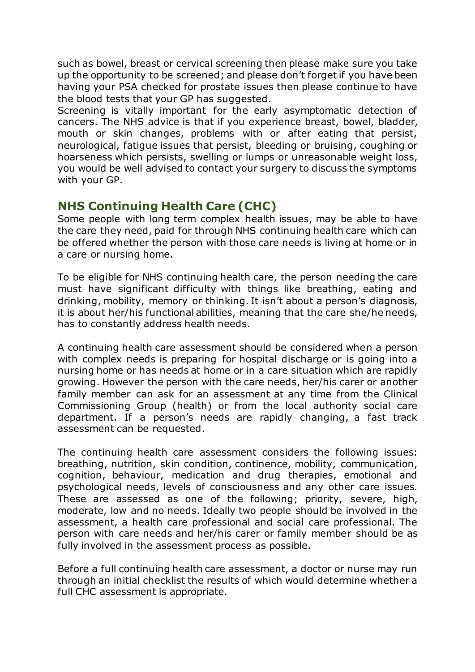such as bowel, breast or cervical screening then please make sure you take up the opportunity to be screened; and please don't forget if you have been having your PSA checked for prostate issues then please continue to have the blood tests that your GP has suggested.

Screening is vitally important for the early asymptomatic detection of cancers. The NHS advice is that if you experience breast, bowel, bladder, mouth or skin changes, problems with or after eating that persist, neurological, fatigue issues that persist, bleeding or bruising, coughing or hoarseness which persists, swelling or lumps or unreasonable weight loss, you would be well advised to contact your surgery to discuss the symptoms with your GP.

# **NHS Continuing Health Care (CHC)**

Some people with long term complex health issues, may be able to have the care they need, paid for through NHS continuing health care which can be offered whether the person with those care needs is living at home or in a care or nursing home.

To be eligible for NHS continuing health care, the person needing the care must have significant difficulty with things like breathing, eating and drinking, mobility, memory or thinking. It isn't about a person's diagnosis, it is about her/his functional abilities, meaning that the care she/he needs, has to constantly address health needs.

A continuing health care assessment should be considered when a person with complex needs is preparing for hospital discharge or is going into a nursing home or has needs at home or in a care situation which are rapidly growing. However the person with the care needs, her/his carer or another family member can ask for an assessment at any time from the Clinical Commissioning Group (health) or from the local authority social care department. If a person's needs are rapidly changing, a fast track assessment can be requested.

The continuing health care assessment considers the following issues: breathing, nutrition, skin condition, continence, mobility, communication, cognition, behaviour, medication and drug therapies, emotional and psychological needs, levels of consciousness and any other care issues. These are assessed as one of the following; priority, severe, high, moderate, low and no needs. Ideally two people should be involved in the assessment, a health care professional and social care professional. The person with care needs and her/his carer or family member should be as fully involved in the assessment process as possible.

Before a full continuing health care assessment, a doctor or nurse may run through an initial checklist the results of which would determine whether a full CHC assessment is appropriate.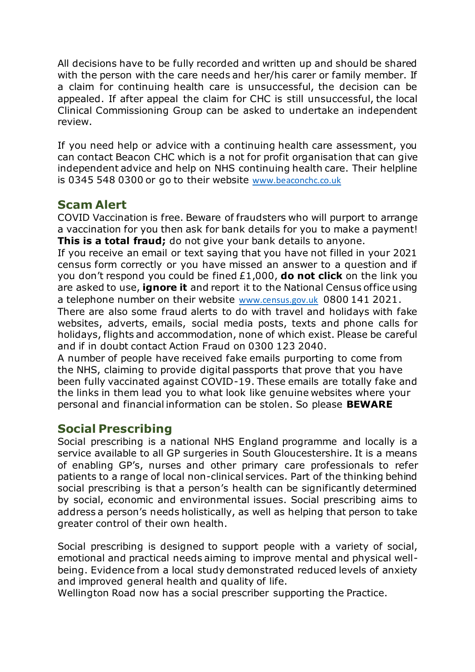All decisions have to be fully recorded and written up and should be shared with the person with the care needs and her/his carer or family member. If a claim for continuing health care is unsuccessful, the decision can be appealed. If after appeal the claim for CHC is still unsuccessful, the local Clinical Commissioning Group can be asked to undertake an independent review.

If you need help or advice with a continuing health care assessment, you can contact Beacon CHC which is a not for profit organisation that can give independent advice and help on NHS continuing health care. Their helpline is 0345 548 0300 or go to their website [www.beaconchc.co.uk](http://www.beaconchc.co.uk/)

# **Scam Alert**

COVID Vaccination is free. Beware of fraudsters who will purport to arrange a vaccination for you then ask for bank details for you to make a payment! **This is a total fraud;** do not give your bank details to anyone.

If you receive an email or text saying that you have not filled in your 2021 census form correctly or you have missed an answer to a question and if you don't respond you could be fined £1,000, **do not click** on the link you are asked to use, **ignore it** and report it to the National Census office using a telephone number on their website [www.census.gov.uk](http://www.census.gov.uk/) 0800 141 2021.

There are also some fraud alerts to do with travel and holidays with fake websites, adverts, emails, social media posts, texts and phone calls for holidays, flights and accommodation, none of which exist. Please be careful and if in doubt contact Action Fraud on 0300 123 2040.

A number of people have received fake emails purporting to come from the NHS, claiming to provide digital passports that prove that you have been fully vaccinated against COVID-19. These emails are totally fake and the links in them lead you to what look like genuine websites where your personal and financial information can be stolen. So please **BEWARE**

# **Social Prescribing**

Social prescribing is a national NHS England programme and locally is a service available to all GP surgeries in South Gloucestershire. It is a means of enabling GP's, nurses and other primary care professionals to refer patients to a range of local non-clinical services. Part of the thinking behind social prescribing is that a person's health can be significantly determined by social, economic and environmental issues. Social prescribing aims to address a person's needs holistically, as well as helping that person to take greater control of their own health.

Social prescribing is designed to support people with a variety of social, emotional and practical needs aiming to improve mental and physical wellbeing. Evidence from a local study demonstrated reduced levels of anxiety and improved general health and quality of life.

Wellington Road now has a social prescriber supporting the Practice.